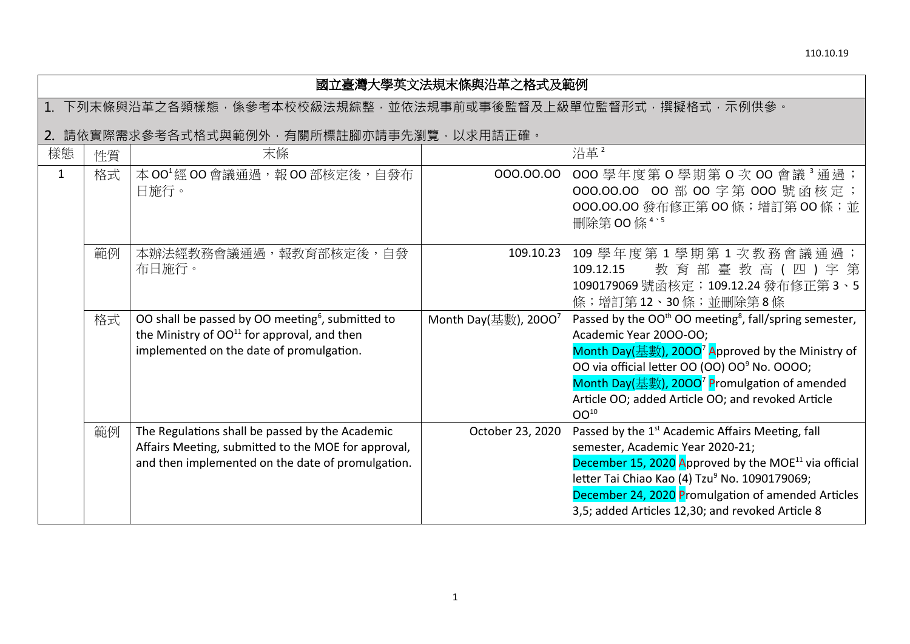| 國立臺灣大學英文法規末條與沿革之格式及範例                                    |                                       |                                                                                                                                                                     |                         |                                                                                                                                                                                                                                                                                                                                                                           |  |  |  |
|----------------------------------------------------------|---------------------------------------|---------------------------------------------------------------------------------------------------------------------------------------------------------------------|-------------------------|---------------------------------------------------------------------------------------------------------------------------------------------------------------------------------------------------------------------------------------------------------------------------------------------------------------------------------------------------------------------------|--|--|--|
| 下列末條與沿革之各類樣態,係參考本校校級法規綜整,並依法規事前或事後監督及上級單位監督形式,撰擬格式,示例供參。 |                                       |                                                                                                                                                                     |                         |                                                                                                                                                                                                                                                                                                                                                                           |  |  |  |
|                                                          | 請依實際需求參考各式格式與範例外,有關所標註腳亦請事先瀏覽,以求用語正確。 |                                                                                                                                                                     |                         |                                                                                                                                                                                                                                                                                                                                                                           |  |  |  |
| 樣態                                                       | 性質                                    | 末條                                                                                                                                                                  |                         | 沿革2                                                                                                                                                                                                                                                                                                                                                                       |  |  |  |
| $\mathbf{1}$                                             | 格式                                    | 本 00 <sup>1</sup> 經 00 會議通過,報 00 部核定後,自發布<br>日施行。                                                                                                                   | 000.00.00               | OOO 學年度第O 學期第O 次 OO 會議 <sup>3</sup> 通過;<br>000.00.00 00 部 00 字第 000 號函核定;<br>000.00.00 發布修正第 00 條; 增訂第 00 條; 並<br>删除第00條 <sup>4、5</sup>                                                                                                                                                                                                                                   |  |  |  |
|                                                          | 範例                                    | 本辦法經教務會議通過,報教育部核定後,自發<br>布日施行。                                                                                                                                      |                         | 109.10.23 109 學年度第1學期第1次教務會議通過;<br>教育部臺教高(四)字第<br>109.12.15<br>1090179069號函核定; 109.12.24發布修正第3、5<br>條;增訂第12、30條;並刪除第8條                                                                                                                                                                                                                                                    |  |  |  |
|                                                          | 格式                                    | OO shall be passed by OO meeting <sup>6</sup> , submitted to<br>the Ministry of OO <sup>11</sup> for approval, and then<br>implemented on the date of promulgation. | Month Day(基數), $2000^7$ | Passed by the OO <sup>th</sup> OO meeting <sup>8</sup> , fall/spring semester,<br>Academic Year 2000-00;<br>Month Day(基數), 2000 <sup>7</sup> Approved by the Ministry of<br>OO via official letter OO (OO) OO <sup>9</sup> No. OOOO;<br>Month Day(基數), 2000 <sup>7</sup> Promulgation of amended<br>Article OO; added Article OO; and revoked Article<br>OO <sup>10</sup> |  |  |  |
|                                                          | 範例                                    | The Regulations shall be passed by the Academic<br>Affairs Meeting, submitted to the MOE for approval,<br>and then implemented on the date of promulgation.         | October 23, 2020        | Passed by the 1 <sup>st</sup> Academic Affairs Meeting, fall<br>semester, Academic Year 2020-21;<br>December 15, 2020 Approved by the MOE <sup>11</sup> via official<br>letter Tai Chiao Kao (4) Tzu <sup>9</sup> No. 1090179069;<br>December 24, 2020 Promulgation of amended Articles<br>3,5; added Articles 12,30; and revoked Article 8                               |  |  |  |

## 1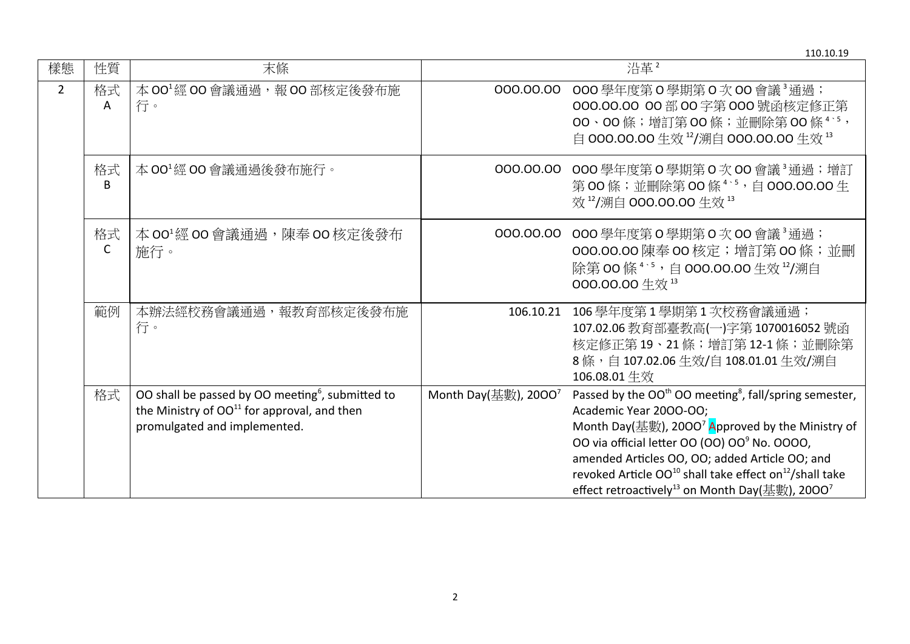110.10.19 樣態 性質 末條 沿革 <sup>2</sup> 2 | 格式 A 本 OO<sup>1</sup> 經 OO 會議通過,報 OO 部核定後發布施 行。 OOO.OO.OO OOO 學年度第 O 學期第 O 次 OO 會議 3 通過; OOO.OO.OO OO 部 OO 字第 OOO 號函核定修正第 OO、OO 條;增訂第 OO 條;並刪除第 OO 條 <sup>4</sup>、<sup>5</sup>, 自 OOO.OO.OO 生效 <sup>12</sup>/溯自 OOO.OO.OO 生效 <sup>13</sup> 格式 B 本 OO<sup>1</sup>經 OO 會議通過後發布施行。 OOO.OO.OO OOO 學年度第 O 學期第 O 次 OO 會議 <sup>3</sup>通過;增訂 第 00條;並刪除第 00條 4、5,自 000.00.00 生 效  $^{12}$ /溯自 000.00.00 生效  $^{13}$ 格式  $\mathsf{C}$ 本 OO<sup>1</sup>經 OO 會議通過,陳奉 OO 核定後發布 施行。 OOO.OO.OO OOO 學年度第 O 學期第 O 次 OO 會議 3 通過; 000.00.00 陳奉 00 核定; 增訂第 00 條; 並刪 除第 00條 4、5,自 000.00.00 生效 12/溯自 OOO.OO.OO 生效 <sup>13</sup> 範例 | 本辦法經校務會議通過,報教育部核定後發布施 行。 106.10.21 106 學年度第 1 學期第 1 次校務會議通過; 107.02.06 教育部臺教高(一)字第 1070016052 號函 核定修正第 19、21條;增訂第 12-1條;並刪除第 8 條,自 107.02.06 生效/自 108.01.01 生效/溯自 106.08.01 生效 格式 |OO shall be passed by OO meeting $^6$ , submitted to the Ministry of  $OO<sup>11</sup>$  for approval, and then promulgated and implemented. Month Day(基數), 2000<sup>7</sup> Passed by the OO<sup>th</sup> OO meeting<sup>8</sup>, fall/spring semester, Academic Year 20OO-OO; Month Day(基數), 2000<sup>7</sup> Approved by the Ministry of OO via official letter OO (OO) OO<sup>9</sup> No. OOOO, amended Articles OO, OO; added Article OO; and revoked Article  $OO^{10}$  shall take effect on<sup>12</sup>/shall take effect retroactively $^{13}$  on Month Day(基數), 2000 $^7$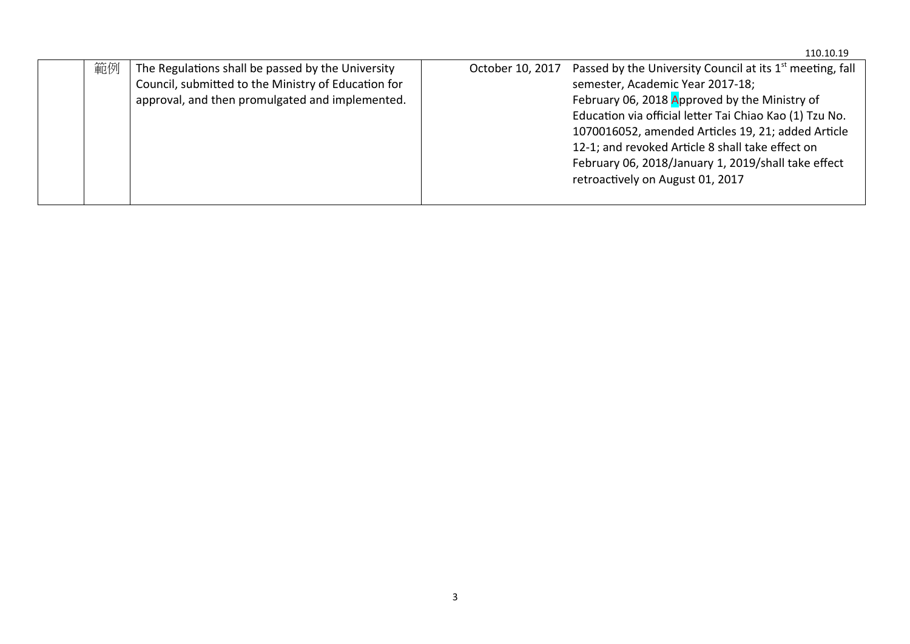|    |                                                                                                                                                             |                  | 110.10.19                                                                                                                                                                                                                                                                                                                                                                                                                  |
|----|-------------------------------------------------------------------------------------------------------------------------------------------------------------|------------------|----------------------------------------------------------------------------------------------------------------------------------------------------------------------------------------------------------------------------------------------------------------------------------------------------------------------------------------------------------------------------------------------------------------------------|
| 範例 | The Regulations shall be passed by the University<br>Council, submitted to the Ministry of Education for<br>approval, and then promulgated and implemented. | October 10, 2017 | Passed by the University Council at its 1 <sup>st</sup> meeting, fall<br>semester, Academic Year 2017-18;<br>February 06, 2018 Approved by the Ministry of<br>Education via official letter Tai Chiao Kao (1) Tzu No.<br>1070016052, amended Articles 19, 21; added Article<br>12-1; and revoked Article 8 shall take effect on<br>February 06, 2018/January 1, 2019/shall take effect<br>retroactively on August 01, 2017 |
|    |                                                                                                                                                             |                  |                                                                                                                                                                                                                                                                                                                                                                                                                            |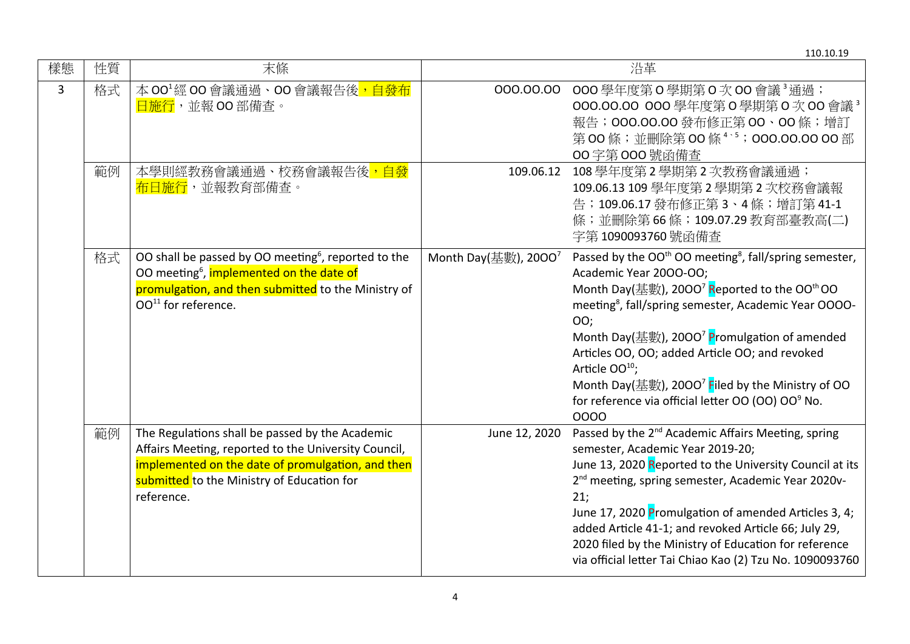| 樣態 | 性質 | 末條                                                                                                                                                                                                                       |                         | 沿革                                                                                                                                                                                                                                                                                                                                                                                                                                                                                                                                               |
|----|----|--------------------------------------------------------------------------------------------------------------------------------------------------------------------------------------------------------------------------|-------------------------|--------------------------------------------------------------------------------------------------------------------------------------------------------------------------------------------------------------------------------------------------------------------------------------------------------------------------------------------------------------------------------------------------------------------------------------------------------------------------------------------------------------------------------------------------|
| 3  | 格式 | 本 00 <sup>1</sup> 經 00 會議通過、00 會議報告後 <mark>,自發布</mark><br>日施行,並報OO部備查。                                                                                                                                                   |                         | 000.00.00 000 學年度第 0 學期第 0 次 00 會議 3 通過;<br>000.00.00 000 學年度第 0 學期第 0 次 00 會議 <sup>3</sup><br>報告; 000.00.00 發布修正第 00、00 條; 增訂<br>第00條;並刪除第00條 <sup>4、5</sup> ;000.00.00 00部<br>00字第000號函備查                                                                                                                                                                                                                                                                                                                                                      |
|    | 範例 | 本學則經教務會議通過、校務會議報告後 <mark>,自發</mark><br><mark>布日施行</mark> ,並報教育部備查。                                                                                                                                                       | 109.06.12               | 108學年度第2學期第2次教務會議通過;<br>109.06.13 109 學年度第 2 學期第 2 次校務會議報<br>告; 109.06.17 發布修正第3、4條; 增訂第41-1<br>條;並刪除第66條;109.07.29 教育部臺教高(二)<br>字第1090093760號函備查                                                                                                                                                                                                                                                                                                                                                                                                |
|    | 格式 | OO shall be passed by OO meeting <sup>6</sup> , reported to the<br>OO meeting <sup>6</sup> , implemented on the date of<br>promulgation, and then submitted to the Ministry of<br>$OO11$ for reference.                  | Month Day(基數), $2000^7$ | Passed by the OO <sup>th</sup> OO meeting <sup>8</sup> , fall/spring semester,<br>Academic Year 2000-00;<br>Month Day(基數), 2000 <sup>7</sup> Reported to the OO <sup>th</sup> OO<br>meeting <sup>8</sup> , fall/spring semester, Academic Year OOOO-<br>00;<br>Month Day(基數), 2000 <sup>7</sup> Promulgation of amended<br>Articles OO, OO; added Article OO; and revoked<br>Article OO <sup>10</sup> ;<br>Month Day(基數), 2000 <sup>7</sup> Filed by the Ministry of OO<br>for reference via official letter OO (OO) OO <sup>9</sup> No.<br>0000 |
|    | 範例 | The Regulations shall be passed by the Academic<br>Affairs Meeting, reported to the University Council,<br>implemented on the date of promulgation, and then<br>submitted to the Ministry of Education for<br>reference. | June 12, 2020           | Passed by the 2 <sup>nd</sup> Academic Affairs Meeting, spring<br>semester, Academic Year 2019-20;<br>June 13, 2020 Reported to the University Council at its<br>2 <sup>nd</sup> meeting, spring semester, Academic Year 2020v-<br>21;<br>June 17, 2020 Promulgation of amended Articles 3, 4;<br>added Article 41-1; and revoked Article 66; July 29,<br>2020 filed by the Ministry of Education for reference<br>via official letter Tai Chiao Kao (2) Tzu No. 1090093760                                                                      |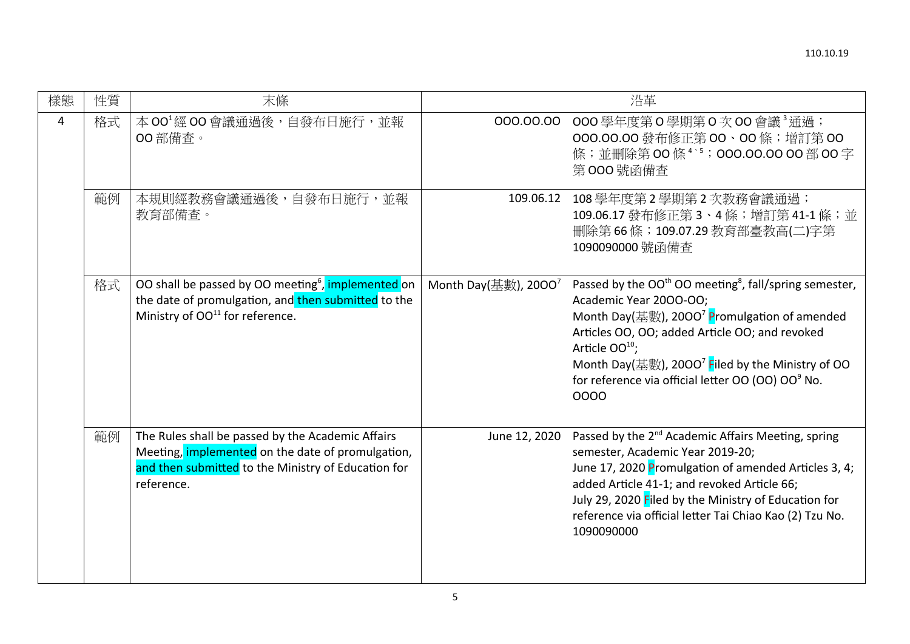| 樣態 | 性質 | 末條                                                                                                                                                                                 |                         | 沿革                                                                                                                                                                                                                                                                                                                                                                                            |
|----|----|------------------------------------------------------------------------------------------------------------------------------------------------------------------------------------|-------------------------|-----------------------------------------------------------------------------------------------------------------------------------------------------------------------------------------------------------------------------------------------------------------------------------------------------------------------------------------------------------------------------------------------|
| 4  | 格式 | 本 00 <sup>1</sup> 經 00 會議通過後, 自發布日施行, 並報<br>00 部備査。                                                                                                                                |                         | 000.00.00 000 學年度第 0 學期第 0 次 00 會議 3 通過;<br>000.00.00 發布修正第 00、00 條;增訂第 00<br>條;並刪除第00條 <sup>4、5</sup> ;000.00.00 00部00字<br>第000號函備查                                                                                                                                                                                                                                                          |
|    | 範例 | 本規則經教務會議通過後,自發布日施行,並報<br>教育部備查。                                                                                                                                                    |                         | 109.06.12 108 學年度第2學期第2次教務會議通過;<br>109.06.17 發布修正第3、4條;增訂第41-1條;並<br>刪除第66條;109.07.29 教育部臺教高(二)字第<br>1090090000號函備查                                                                                                                                                                                                                                                                           |
|    | 格式 | OO shall be passed by OO meeting <sup>6</sup> , implemented on<br>the date of promulgation, and then submitted to the<br>Ministry of OO <sup>11</sup> for reference.               | Month Day(基數), $2000^7$ | Passed by the OO <sup>th</sup> OO meeting <sup>8</sup> , fall/spring semester,<br>Academic Year 2000-00;<br>Month Day(基數), 2000 <sup>7</sup> Promulgation of amended<br>Articles OO, OO; added Article OO; and revoked<br>Article OO <sup>10</sup> ;<br>Month Day(基數), 2000 <sup>7</sup> Filed by the Ministry of OO<br>for reference via official letter OO (OO) OO <sup>9</sup> No.<br>0000 |
|    | 範例 | The Rules shall be passed by the Academic Affairs<br>Meeting, <i>implemented</i> on the date of promulgation,<br>and then submitted to the Ministry of Education for<br>reference. | June 12, 2020           | Passed by the 2 <sup>nd</sup> Academic Affairs Meeting, spring<br>semester, Academic Year 2019-20;<br>June 17, 2020 Promulgation of amended Articles 3, 4;<br>added Article 41-1; and revoked Article 66;<br>July 29, 2020 Filed by the Ministry of Education for<br>reference via official letter Tai Chiao Kao (2) Tzu No.<br>1090090000                                                    |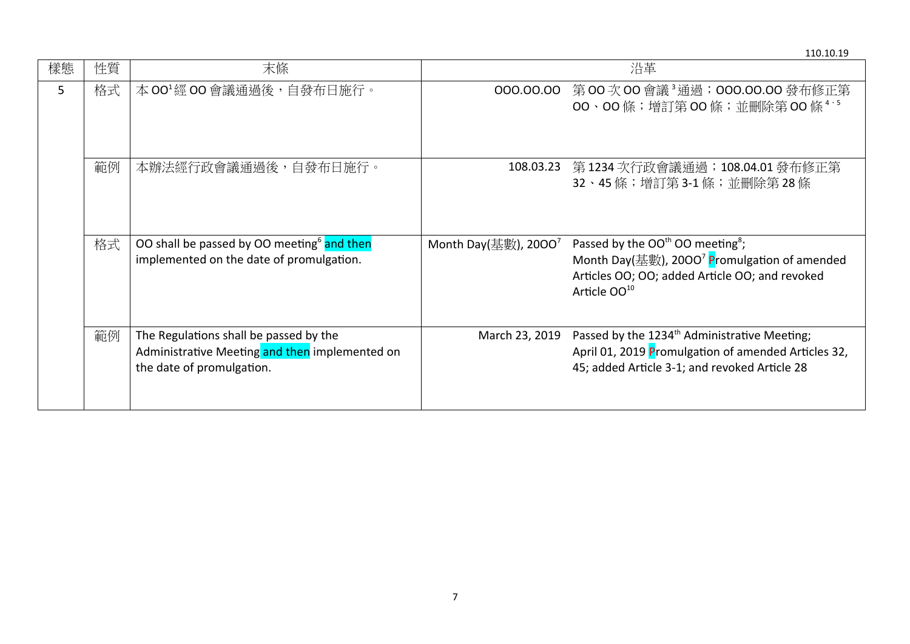110.10.19 樣態 性質 末條 沿革 5 |格式|本 00<sup>1</sup>經 00 會議通過後,自發布日施行。 | 000.00.00 第 00 次 00 會議 <sup>3</sup>通過;000.00.00 發布修正第 OO、OO 條;增訂第 OO 條;並刪除第 OO 條 <sup>4</sup>、<sup>5</sup> 範例│本辦法經行政會議通過後,自發布日施行。 | 108.03.23 第 1234 次行政會議通過;108.04.01 發布修正第 32、45 條;增訂第 3-1 條;並刪除第 28 條 格式 | OO shall be passed by OO meeting<sup>6</sup> and then implemented on the date of promulgation. Month Day(基數), 2000<sup>7</sup> Passed by the OO<sup>th</sup> OO meeting<sup>8</sup>; Month Day(基數), 2000<sup>7</sup> Promulgation of amended Articles OO; OO; added Article OO; and revoked Article OO<sup>10</sup> **範例** The Regulations shall be passed by the Administrative Meeting and then implemented on the date of promulgation. March 23, 2019 Passed by the  $1234<sup>th</sup>$  Administrative Meeting; April 01, 2019 Promulgation of amended Articles 32, 45; added Article 3-1; and revoked Article 28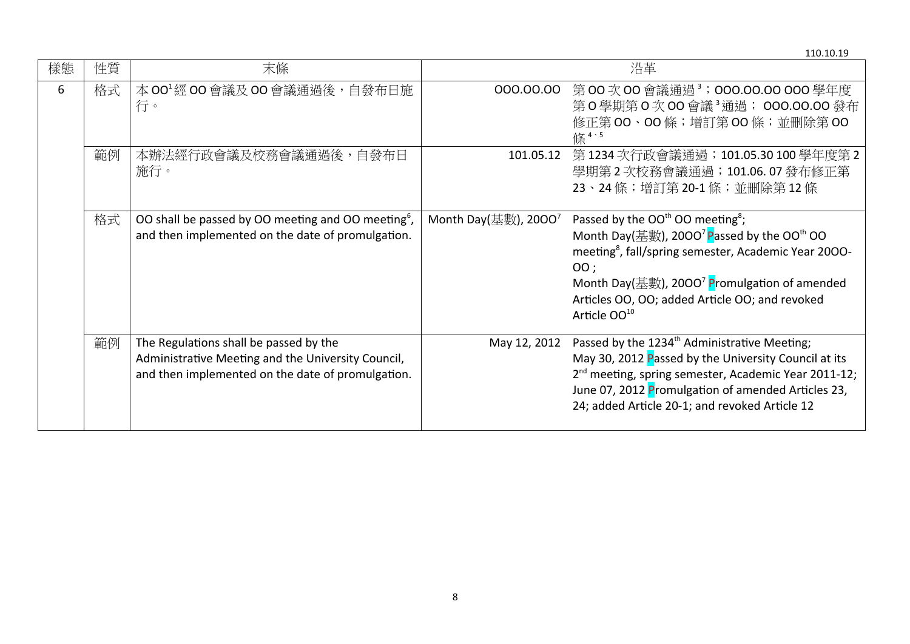|    |    |                                                                                                                                                   |                         | 110.10.19                                                                                                                                                                                                                                                                                                                                 |
|----|----|---------------------------------------------------------------------------------------------------------------------------------------------------|-------------------------|-------------------------------------------------------------------------------------------------------------------------------------------------------------------------------------------------------------------------------------------------------------------------------------------------------------------------------------------|
| 樣態 | 性質 | 末條                                                                                                                                                |                         | 沿革                                                                                                                                                                                                                                                                                                                                        |
| 6  | 格式 | 本 00 <sup>1</sup> 經 00 會議及 00 會議通過後, 自發布日施<br>行。                                                                                                  |                         | 000.00.00 第00次00會議通過3;000.00.00 000學年度<br>第0學期第0次00會議3通過;000.00.00發布<br>修正第 00、00條;增訂第 00條;並刪除第 00<br>條4、5                                                                                                                                                                                                                                |
|    | 範例 | 本辦法經行政會議及校務會議通過後,自發布日<br>施行。                                                                                                                      |                         | 101.05.12 第 1234 次行政會議通過; 101.05.30 100 學年度第 2<br>學期第2次校務會議通過; 101.06.07發布修正第<br>23、24條;增訂第20-1條;並刪除第12條                                                                                                                                                                                                                                  |
|    | 格式 | OO shall be passed by OO meeting and OO meeting <sup>6</sup> ,<br>and then implemented on the date of promulgation.                               | Month Day(基數), $2000^7$ | Passed by the $OOth OO$ meeting <sup>8</sup> ;<br>Month Day(基數), 2000 <sup>7</sup> Passed by the OO <sup>th</sup> OO<br>meeting <sup>8</sup> , fall/spring semester, Academic Year 2000-<br>OO;<br>Month Day(基數), 2000 <sup>7</sup> Promulgation of amended<br>Articles OO, OO; added Article OO; and revoked<br>Article OO <sup>10</sup> |
|    | 範例 | The Regulations shall be passed by the<br>Administrative Meeting and the University Council,<br>and then implemented on the date of promulgation. | May 12, 2012            | Passed by the 1234 <sup>th</sup> Administrative Meeting;<br>May 30, 2012 Passed by the University Council at its<br>2 <sup>nd</sup> meeting, spring semester, Academic Year 2011-12;<br>June 07, 2012 Promulgation of amended Articles 23,<br>24; added Article 20-1; and revoked Article 12                                              |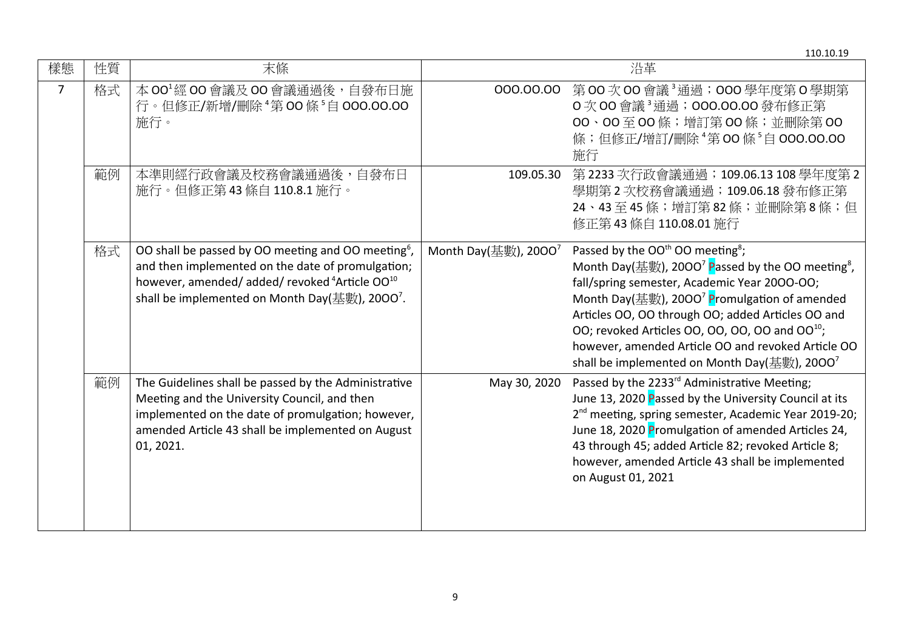|                |    |                                                                                                                                                                                                                                                             |                         | 110.10.19                                                                                                                                                                                                                                                                                                                                                                                                                                                                             |
|----------------|----|-------------------------------------------------------------------------------------------------------------------------------------------------------------------------------------------------------------------------------------------------------------|-------------------------|---------------------------------------------------------------------------------------------------------------------------------------------------------------------------------------------------------------------------------------------------------------------------------------------------------------------------------------------------------------------------------------------------------------------------------------------------------------------------------------|
| 樣態             | 性質 | 末條                                                                                                                                                                                                                                                          |                         | 沿革                                                                                                                                                                                                                                                                                                                                                                                                                                                                                    |
| $\overline{7}$ | 格式 | 本 00 <sup>1</sup> 經 00 會議及 00 會議通過後,自發布日施<br>行。但修正/新增/刪除 "第 00 條 5自 000.00.00<br>施行。                                                                                                                                                                        |                         | 000.00.00 第00次00會議3通過;000學年度第0學期第<br>O 次 OO 會議 <sup>3</sup> 通過; 000.00.00 發布修正第<br>00、00至00條; 增訂第00條; 並刪除第00<br>條;但修正/增訂/刪除 4第00條 5自 000.00.00<br>施行                                                                                                                                                                                                                                                                                                                                  |
|                | 範例 | 本準則經行政會議及校務會議通過後,自發布日<br>施行。但修正第43條自110.8.1 施行。                                                                                                                                                                                                             |                         | 109.05.30 第2233次行政會議通過; 109.06.13 108學年度第2<br>學期第2次校務會議通過;109.06.18發布修正第<br>24、43至45條;增訂第82條;並刪除第8條;但<br>修正第 43 條自 110.08.01 施行                                                                                                                                                                                                                                                                                                                                                       |
|                | 格式 | OO shall be passed by OO meeting and OO meeting <sup>6</sup> ,<br>and then implemented on the date of promulgation;<br>however, amended/ added/ revoked <sup>4</sup> Article OO <sup>10</sup><br>shall be implemented on Month Day(基數), 2000 <sup>7</sup> . | Month Day(基數), $2000^7$ | Passed by the OO <sup>th</sup> OO meeting <sup>8</sup> ;<br>Month Day(基數), 2000 <sup>7</sup> Passed by the OO meeting <sup>8</sup> ,<br>fall/spring semester, Academic Year 2000-00;<br>Month Day(基數), 2000 <sup>7</sup> Promulgation of amended<br>Articles OO, OO through OO; added Articles OO and<br>OO; revoked Articles OO, OO, OO, OO and OO <sup>10</sup> ;<br>however, amended Article OO and revoked Article OO<br>shall be implemented on Month Day(基數), 2000 <sup>7</sup> |
|                | 範例 | The Guidelines shall be passed by the Administrative<br>Meeting and the University Council, and then<br>implemented on the date of promulgation; however,<br>amended Article 43 shall be implemented on August<br>01, 2021.                                 | May 30, 2020            | Passed by the 2233 <sup>rd</sup> Administrative Meeting;<br>June 13, 2020 Passed by the University Council at its<br>2 <sup>nd</sup> meeting, spring semester, Academic Year 2019-20;<br>June 18, 2020 Promulgation of amended Articles 24,<br>43 through 45; added Article 82; revoked Article 8;<br>however, amended Article 43 shall be implemented<br>on August 01, 2021                                                                                                          |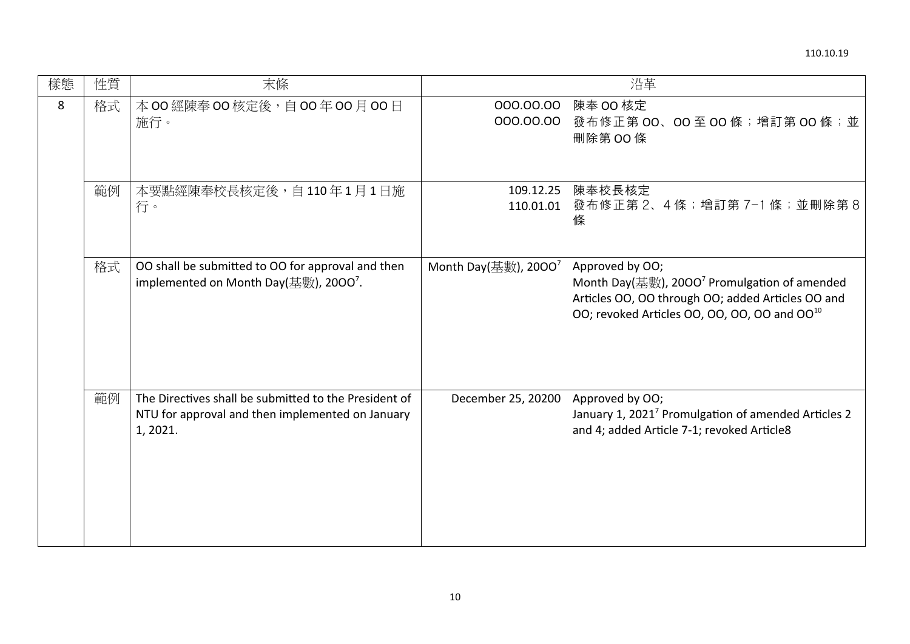| 樣態 | 性質 | 末條                                                                                                                                               |                         | 沿革                                                                                                                                                                                           |
|----|----|--------------------------------------------------------------------------------------------------------------------------------------------------|-------------------------|----------------------------------------------------------------------------------------------------------------------------------------------------------------------------------------------|
| 8  | 格式 | 本 00 經陳奉 00 核定後, 自 00 年 00 月 00 日<br>施行。                                                                                                         | 000.00.00               | 陳奉 00 核定<br>000.00.00 發布修正第 00、00至 00 條; 增訂第 00 條; 並<br>刪除第OO條                                                                                                                               |
|    | 範例 | 本要點經陳奉校長核定後,自110年1月1日施<br>行。                                                                                                                     |                         | 109.12.25 陳奉校長核定<br>110.01.01 發布修正第2、4條;增訂第7-1條;並刪除第8<br>條                                                                                                                                   |
|    | 格式 | OO shall be submitted to OO for approval and then<br>implemented on Month Day( $\ddagger\ddagger\ddagger\ddagger\ddagger$ ), 2000 <sup>7</sup> . | Month Day(基數), $2000^7$ | Approved by OO;<br>Month Day(基數), 2000 <sup>7</sup> Promulgation of amended<br>Articles OO, OO through OO; added Articles OO and<br>OO; revoked Articles OO, OO, OO, OO and OO <sup>10</sup> |
|    | 範例 | The Directives shall be submitted to the President of<br>NTU for approval and then implemented on January<br>1, 2021.                            | December 25, 20200      | Approved by OO;<br>January 1, 2021 <sup>7</sup> Promulgation of amended Articles 2<br>and 4; added Article 7-1; revoked Article8                                                             |